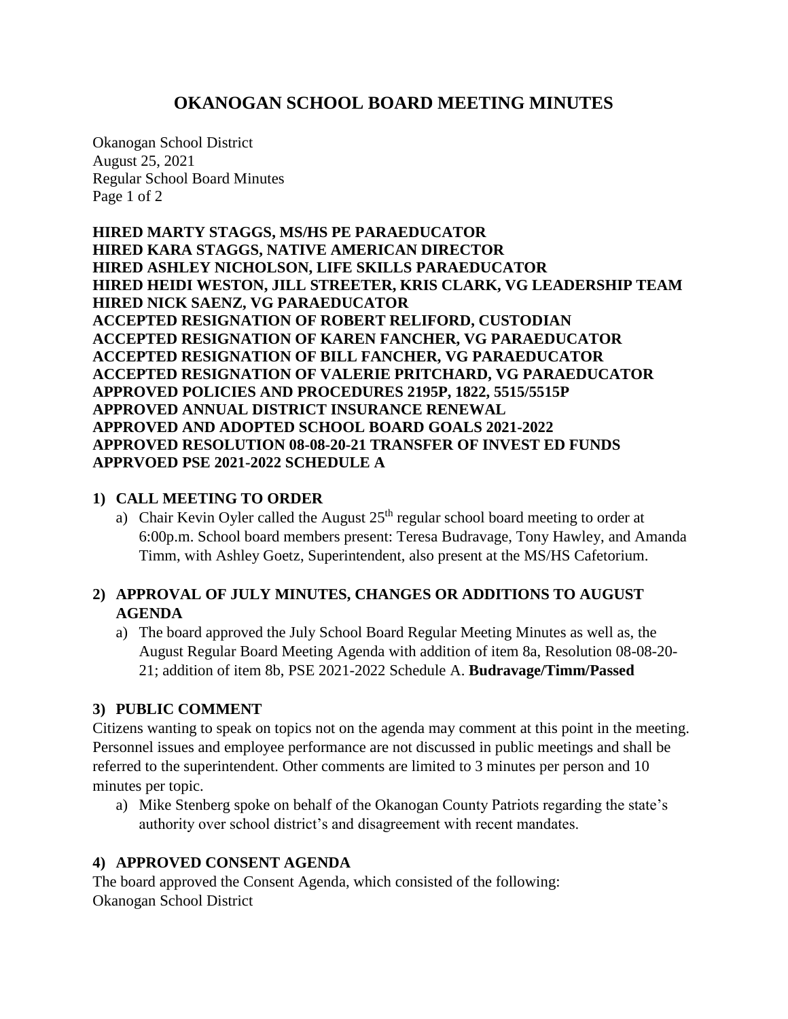# **OKANOGAN SCHOOL BOARD MEETING MINUTES**

Okanogan School District August 25, 2021 Regular School Board Minutes Page 1 of 2

**HIRED MARTY STAGGS, MS/HS PE PARAEDUCATOR HIRED KARA STAGGS, NATIVE AMERICAN DIRECTOR HIRED ASHLEY NICHOLSON, LIFE SKILLS PARAEDUCATOR HIRED HEIDI WESTON, JILL STREETER, KRIS CLARK, VG LEADERSHIP TEAM HIRED NICK SAENZ, VG PARAEDUCATOR ACCEPTED RESIGNATION OF ROBERT RELIFORD, CUSTODIAN ACCEPTED RESIGNATION OF KAREN FANCHER, VG PARAEDUCATOR ACCEPTED RESIGNATION OF BILL FANCHER, VG PARAEDUCATOR ACCEPTED RESIGNATION OF VALERIE PRITCHARD, VG PARAEDUCATOR APPROVED POLICIES AND PROCEDURES 2195P, 1822, 5515/5515P APPROVED ANNUAL DISTRICT INSURANCE RENEWAL APPROVED AND ADOPTED SCHOOL BOARD GOALS 2021-2022 APPROVED RESOLUTION 08-08-20-21 TRANSFER OF INVEST ED FUNDS APPRVOED PSE 2021-2022 SCHEDULE A**

### **1) CALL MEETING TO ORDER**

a) Chair Kevin Oyler called the August  $25<sup>th</sup>$  regular school board meeting to order at 6:00p.m. School board members present: Teresa Budravage, Tony Hawley, and Amanda Timm, with Ashley Goetz, Superintendent, also present at the MS/HS Cafetorium.

## **2) APPROVAL OF JULY MINUTES, CHANGES OR ADDITIONS TO AUGUST AGENDA**

a) The board approved the July School Board Regular Meeting Minutes as well as, the August Regular Board Meeting Agenda with addition of item 8a, Resolution 08-08-20- 21; addition of item 8b, PSE 2021-2022 Schedule A. **Budravage/Timm/Passed**

#### **3) PUBLIC COMMENT**

Citizens wanting to speak on topics not on the agenda may comment at this point in the meeting. Personnel issues and employee performance are not discussed in public meetings and shall be referred to the superintendent. Other comments are limited to 3 minutes per person and 10 minutes per topic.

a) Mike Stenberg spoke on behalf of the Okanogan County Patriots regarding the state's authority over school district's and disagreement with recent mandates.

## **4) APPROVED CONSENT AGENDA**

The board approved the Consent Agenda, which consisted of the following: Okanogan School District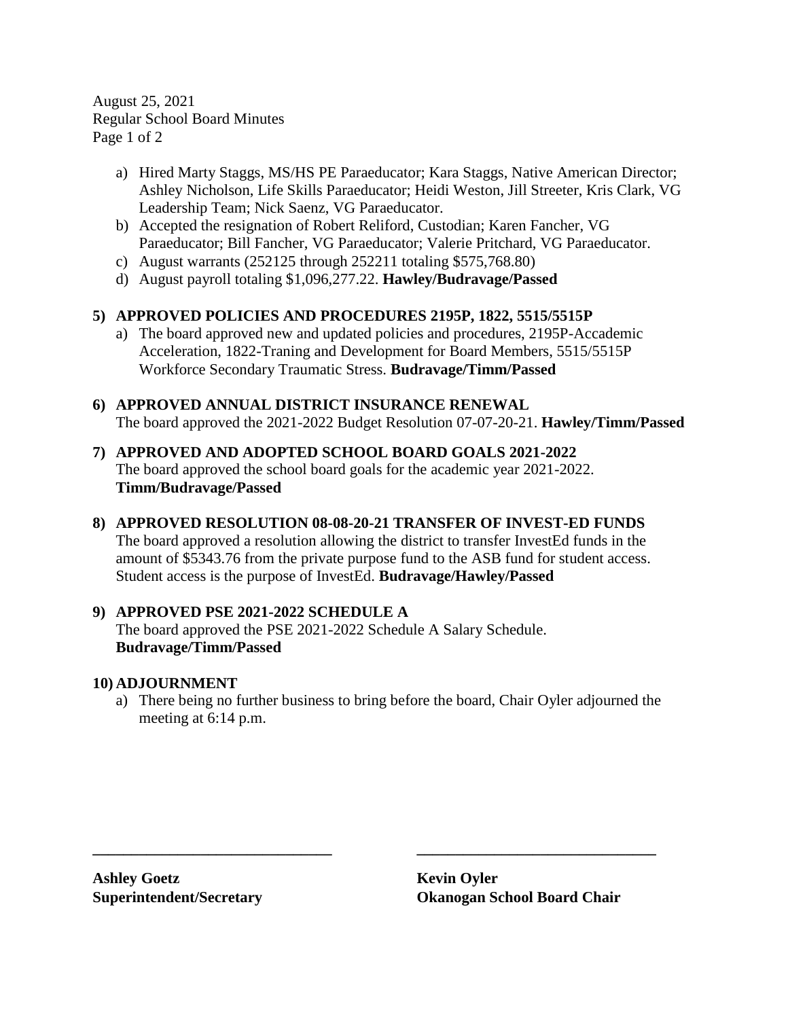August 25, 2021 Regular School Board Minutes Page 1 of 2

- a) Hired Marty Staggs, MS/HS PE Paraeducator; Kara Staggs, Native American Director; Ashley Nicholson, Life Skills Paraeducator; Heidi Weston, Jill Streeter, Kris Clark, VG Leadership Team; Nick Saenz, VG Paraeducator.
- b) Accepted the resignation of Robert Reliford, Custodian; Karen Fancher, VG Paraeducator; Bill Fancher, VG Paraeducator; Valerie Pritchard, VG Paraeducator.
- c) August warrants (252125 through 252211 totaling \$575,768.80)
- d) August payroll totaling \$1,096,277.22. **Hawley/Budravage/Passed**

## **5) APPROVED POLICIES AND PROCEDURES 2195P, 1822, 5515/5515P**

a) The board approved new and updated policies and procedures, 2195P-Accademic Acceleration, 1822-Traning and Development for Board Members, 5515/5515P Workforce Secondary Traumatic Stress. **Budravage/Timm/Passed**

**6) APPROVED ANNUAL DISTRICT INSURANCE RENEWAL** The board approved the 2021-2022 Budget Resolution 07-07-20-21. **Hawley/Timm/Passed**

- **7) APPROVED AND ADOPTED SCHOOL BOARD GOALS 2021-2022** The board approved the school board goals for the academic year 2021-2022. **Timm/Budravage/Passed**
- **8) APPROVED RESOLUTION 08-08-20-21 TRANSFER OF INVEST-ED FUNDS** The board approved a resolution allowing the district to transfer InvestEd funds in the amount of \$5343.76 from the private purpose fund to the ASB fund for student access. Student access is the purpose of InvestEd. **Budravage/Hawley/Passed**

#### **9) APPROVED PSE 2021-2022 SCHEDULE A**

The board approved the PSE 2021-2022 Schedule A Salary Schedule. **Budravage/Timm/Passed**

#### **10) ADJOURNMENT**

a) There being no further business to bring before the board, Chair Oyler adjourned the meeting at 6:14 p.m.

**\_\_\_\_\_\_\_\_\_\_\_\_\_\_\_\_\_\_\_\_\_\_\_\_\_\_\_\_\_\_\_ \_\_\_\_\_\_\_\_\_\_\_\_\_\_\_\_\_\_\_\_\_\_\_\_\_\_\_\_\_\_\_**

**Ashley Goetz Kevin Oyler**

**Superintendent/Secretary Okanogan School Board Chair**